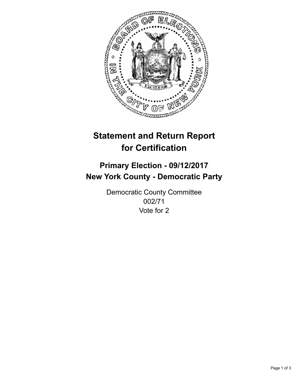

## **Statement and Return Report for Certification**

## **Primary Election - 09/12/2017 New York County - Democratic Party**

Democratic County Committee 002/71 Vote for 2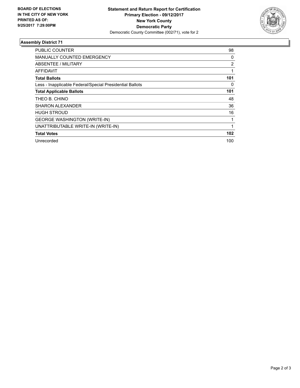

## **Assembly District 71**

| <b>PUBLIC COUNTER</b>                                    | 98             |
|----------------------------------------------------------|----------------|
| MANUALLY COUNTED EMERGENCY                               | 0              |
| ABSENTEE / MILITARY                                      | $\overline{2}$ |
| <b>AFFIDAVIT</b>                                         |                |
| <b>Total Ballots</b>                                     | 101            |
| Less - Inapplicable Federal/Special Presidential Ballots | 0              |
| <b>Total Applicable Ballots</b>                          | 101            |
| THEO B. CHINO                                            | 48             |
| <b>SHARON ALEXANDER</b>                                  | 36             |
| <b>HUGH STROUD</b>                                       | 16             |
| <b>GEORGE WASHINGTON (WRITE-IN)</b>                      |                |
| UNATTRIBUTABLE WRITE-IN (WRITE-IN)                       |                |
| <b>Total Votes</b>                                       | 102            |
| Unrecorded                                               | 100            |